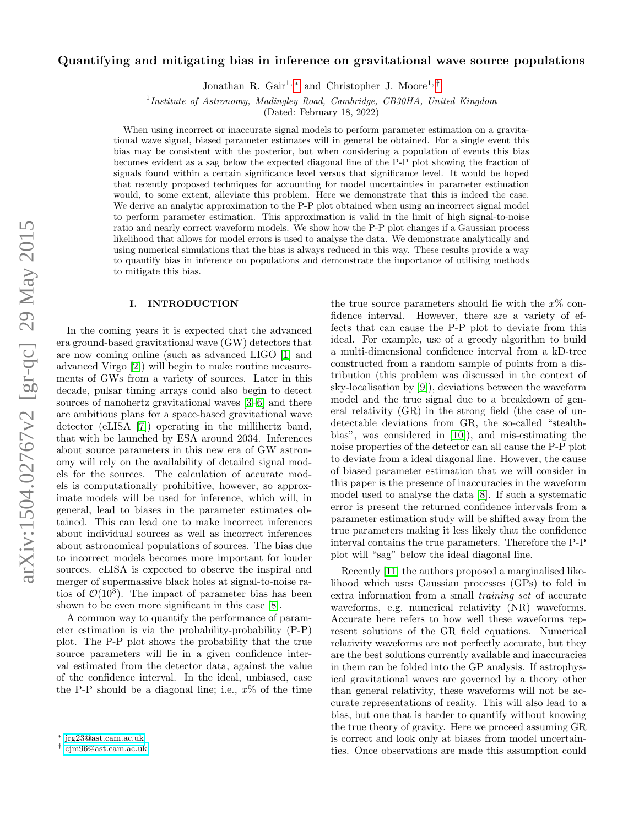# arXiv:1504.02767v2 [gr-qc] 29 May 2015 arXiv:1504.02767v2 [gr-qc] 29 May 2015

# <span id="page-0-2"></span>Quantifying and mitigating bias in inference on gravitational wave source populations

Jonathan R. Gair<sup>1,[∗](#page-0-0)</sup> and Christopher J. Moore<sup>1,[†](#page-0-1)</sup>

<sup>1</sup> Institute of Astronomy, Madingley Road, Cambridge, CB30HA, United Kingdom

(Dated: February 18, 2022)

When using incorrect or inaccurate signal models to perform parameter estimation on a gravitational wave signal, biased parameter estimates will in general be obtained. For a single event this bias may be consistent with the posterior, but when considering a population of events this bias becomes evident as a sag below the expected diagonal line of the P-P plot showing the fraction of signals found within a certain significance level versus that significance level. It would be hoped that recently proposed techniques for accounting for model uncertainties in parameter estimation would, to some extent, alleviate this problem. Here we demonstrate that this is indeed the case. We derive an analytic approximation to the P-P plot obtained when using an incorrect signal model to perform parameter estimation. This approximation is valid in the limit of high signal-to-noise ratio and nearly correct waveform models. We show how the P-P plot changes if a Gaussian process likelihood that allows for model errors is used to analyse the data. We demonstrate analytically and using numerical simulations that the bias is always reduced in this way. These results provide a way to quantify bias in inference on populations and demonstrate the importance of utilising methods to mitigate this bias.

# I. INTRODUCTION

In the coming years it is expected that the advanced era ground-based gravitational wave (GW) detectors that are now coming online (such as advanced LIGO [\[1\]](#page-9-0) and advanced Virgo [\[2\]](#page-9-1)) will begin to make routine measurements of GWs from a variety of sources. Later in this decade, pulsar timing arrays could also begin to detect sources of nanohertz gravitational waves [\[3](#page-9-2)[–6\]](#page-9-3) and there are ambitious plans for a space-based gravitational wave detector (eLISA [\[7\]](#page-9-4)) operating in the millihertz band, that with be launched by ESA around 2034. Inferences about source parameters in this new era of GW astronomy will rely on the availability of detailed signal models for the sources. The calculation of accurate models is computationally prohibitive, however, so approximate models will be used for inference, which will, in general, lead to biases in the parameter estimates obtained. This can lead one to make incorrect inferences about individual sources as well as incorrect inferences about astronomical populations of sources. The bias due to incorrect models becomes more important for louder sources. eLISA is expected to observe the inspiral and merger of supermassive black holes at signal-to-noise ratios of  $\mathcal{O}(10^3)$ . The impact of parameter bias has been shown to be even more significant in this case [\[8\]](#page-9-5).

A common way to quantify the performance of parameter estimation is via the probability-probability (P-P) plot. The P-P plot shows the probability that the true source parameters will lie in a given confidence interval estimated from the detector data, against the value of the confidence interval. In the ideal, unbiased, case the P-P should be a diagonal line; i.e.,  $x\%$  of the time

the true source parameters should lie with the  $x\%$  confidence interval. However, there are a variety of effects that can cause the P-P plot to deviate from this ideal. For example, use of a greedy algorithm to build a multi-dimensional confidence interval from a kD-tree constructed from a random sample of points from a distribution (this problem was discussed in the context of sky-localisation by [\[9\]](#page-9-6)), deviations between the waveform model and the true signal due to a breakdown of general relativity (GR) in the strong field (the case of undetectable deviations from GR, the so-called "stealthbias", was considered in [\[10\]](#page-9-7)), and mis-estimating the noise properties of the detector can all cause the P-P plot to deviate from a ideal diagonal line. However, the cause of biased parameter estimation that we will consider in this paper is the presence of inaccuracies in the waveform model used to analyse the data [\[8\]](#page-9-5). If such a systematic error is present the returned confidence intervals from a parameter estimation study will be shifted away from the true parameters making it less likely that the confidence interval contains the true parameters. Therefore the P-P plot will "sag" below the ideal diagonal line.

Recently [\[11\]](#page-9-8) the authors proposed a marginalised likelihood which uses Gaussian processes (GPs) to fold in extra information from a small training set of accurate waveforms, e.g. numerical relativity (NR) waveforms. Accurate here refers to how well these waveforms represent solutions of the GR field equations. Numerical relativity waveforms are not perfectly accurate, but they are the best solutions currently available and inaccuracies in them can be folded into the GP analysis. If astrophysical gravitational waves are governed by a theory other than general relativity, these waveforms will not be accurate representations of reality. This will also lead to a bias, but one that is harder to quantify without knowing the true theory of gravity. Here we proceed assuming GR is correct and look only at biases from model uncertainties. Once observations are made this assumption could

<span id="page-0-0"></span><sup>∗</sup> [jrg23@ast.cam.ac.uk](mailto:jrg23@ast.cam.ac.uk)

<span id="page-0-1"></span><sup>†</sup> [cjm96@ast.cam.ac.uk](mailto:cjm96@ast.cam.ac.uk)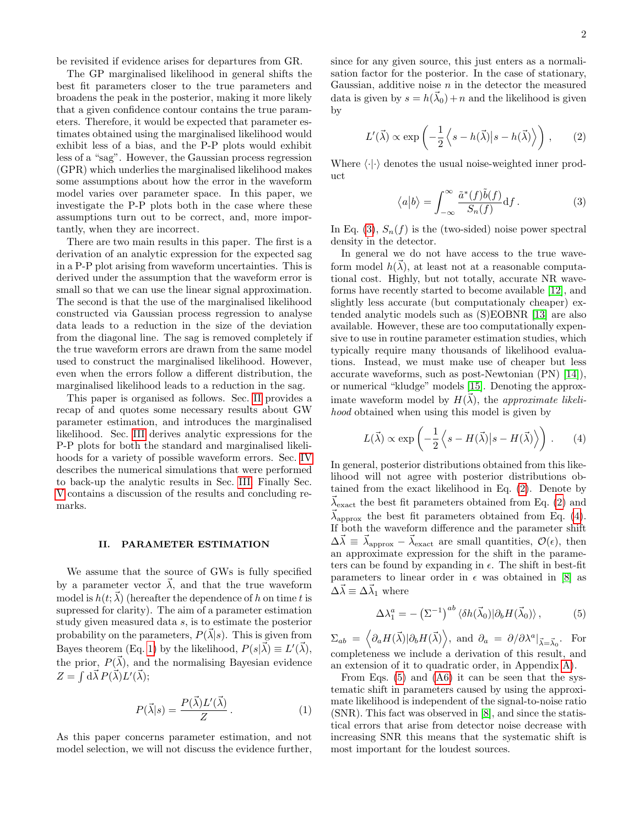be revisited if evidence arises for departures from GR.

The GP marginalised likelihood in general shifts the best fit parameters closer to the true parameters and broadens the peak in the posterior, making it more likely that a given confidence contour contains the true parameters. Therefore, it would be expected that parameter estimates obtained using the marginalised likelihood would exhibit less of a bias, and the P-P plots would exhibit less of a "sag". However, the Gaussian process regression (GPR) which underlies the marginalised likelihood makes some assumptions about how the error in the waveform model varies over parameter space. In this paper, we investigate the P-P plots both in the case where these assumptions turn out to be correct, and, more importantly, when they are incorrect.

There are two main results in this paper. The first is a derivation of an analytic expression for the expected sag in a P-P plot arising from waveform uncertainties. This is derived under the assumption that the waveform error is small so that we can use the linear signal approximation. The second is that the use of the marginalised likelihood constructed via Gaussian process regression to analyse data leads to a reduction in the size of the deviation from the diagonal line. The sag is removed completely if the true waveform errors are drawn from the same model used to construct the marginalised likelihood. However, even when the errors follow a different distribution, the marginalised likelihood leads to a reduction in the sag.

This paper is organised as follows. Sec. [II](#page-1-0) provides a recap of and quotes some necessary results about GW parameter estimation, and introduces the marginalised likelihood. Sec. [III](#page-2-0) derives analytic expressions for the P-P plots for both the standard and marginalised likelihoods for a variety of possible waveform errors. Sec. [IV](#page-7-0) describes the numerical simulations that were performed to back-up the analytic results in Sec. [III.](#page-2-0) Finally Sec. [V](#page-9-9) contains a discussion of the results and concluding remarks.

# <span id="page-1-0"></span>II. PARAMETER ESTIMATION

We assume that the source of GWs is fully specified by a parameter vector  $\vec{\lambda}$ , and that the true waveform model is  $h(t; \vec{\lambda})$  (hereafter the dependence of h on time t is supressed for clarity). The aim of a parameter estimation study given measured data s, is to estimate the posterior probability on the parameters,  $P(\vec{\lambda}|s)$ . This is given from Bayes theorem (Eq. [1\)](#page-1-1) by the likelihood,  $P(s|\vec{\lambda}) \equiv L'(\vec{\lambda}),$ the prior,  $P(\vec{\lambda})$ , and the normalising Bayesian evidence  $Z = \int d\vec{\lambda} P(\vec{\lambda}) L'(\vec{\lambda});$ 

<span id="page-1-1"></span>
$$
P(\vec{\lambda}|s) = \frac{P(\vec{\lambda})L'(\vec{\lambda})}{Z}.
$$
 (1)

As this paper concerns parameter estimation, and not model selection, we will not discuss the evidence further,

since for any given source, this just enters as a normalisation factor for the posterior. In the case of stationary, Gaussian, additive noise  $n$  in the detector the measured data is given by  $s = h(\vec{\lambda}_0) + n$  and the likelihood is given by

<span id="page-1-3"></span>
$$
L'(\vec{\lambda}) \propto \exp\left(-\frac{1}{2}\left\langle s - h(\vec{\lambda})\big|s - h(\vec{\lambda})\right\rangle\right),\qquad(2)
$$

<span id="page-1-2"></span>Where  $\langle \cdot | \cdot \rangle$  denotes the usual noise-weighted inner product

$$
\langle a|b\rangle = \int_{-\infty}^{\infty} \frac{\tilde{a}^*(f)\tilde{b}(f)}{S_n(f)} df.
$$
 (3)

In Eq. [\(3\)](#page-1-2),  $S_n(f)$  is the (two-sided) noise power spectral density in the detector.

In general we do not have access to the true waveform model  $h(\vec{\lambda})$ , at least not at a reasonable computational cost. Highly, but not totally, accurate NR waveforms have recently started to become available [\[12\]](#page-9-10), and slightly less accurate (but computationaly cheaper) extended analytic models such as (S)EOBNR [\[13\]](#page-10-0) are also available. However, these are too computationally expensive to use in routine parameter estimation studies, which typically require many thousands of likelihood evaluations. Instead, we must make use of cheaper but less accurate waveforms, such as post-Newtonian (PN) [\[14\]](#page-10-1)), or numerical "kludge" models [\[15\]](#page-10-2). Denoting the approximate waveform model by  $H(\vec{\lambda})$ , the approximate likelihood obtained when using this model is given by

<span id="page-1-4"></span>
$$
L(\vec{\lambda}) \propto \exp\left(-\frac{1}{2}\left\langle s - H(\vec{\lambda})\big|s - H(\vec{\lambda})\right\rangle\right). \tag{4}
$$

In general, posterior distributions obtained from this likelihood will not agree with posterior distributions obtained from the exact likelihood in Eq. [\(2\)](#page-1-3). Denote by  $\lambda_{\text{exact}}$  the best fit parameters obtained from Eq. [\(2\)](#page-1-3) and  $\vec{\lambda}_{\text{approx}}$  the best fit parameters obtained from Eq. [\(4\)](#page-1-4). If both the waveform difference and the parameter shift  $\Delta \vec{\lambda} \equiv \vec{\lambda}_{\text{approx}} - \vec{\lambda}_{\text{exact}}$  are small quantities,  $\mathcal{O}(\epsilon)$ , then an approximate expression for the shift in the parameters can be found by expanding in  $\epsilon$ . The shift in best-fit parameters to linear order in  $\epsilon$  was obtained in [\[8\]](#page-9-5) as  $\Delta \vec{\lambda} \equiv \Delta \vec{\lambda}_1$  where

<span id="page-1-5"></span>
$$
\Delta \lambda_1^a = -\left(\Sigma^{-1}\right)^{ab} \langle \delta h(\vec{\lambda}_0) | \partial_b H(\vec{\lambda}_0) \rangle, \tag{5}
$$

 $\Sigma_{ab} = \langle \partial_a H(\vec{\lambda}) | \partial_b H(\vec{\lambda}) \rangle$ , and  $\partial_a = \partial / \partial \lambda^a |_{\vec{\lambda} = \vec{\lambda}_0}$ . For completeness we include a derivation of this result, and an extension of it to quadratic order, in Appendix [A\)](#page-10-3).

From Eqs. [\(5\)](#page-1-5) and [\(A6\)](#page-10-4) it can be seen that the systematic shift in parameters caused by using the approximate likelihood is independent of the signal-to-noise ratio (SNR). This fact was observed in [\[8\]](#page-9-5), and since the statistical errors that arise from detector noise decrease with increasing SNR this means that the systematic shift is most important for the loudest sources.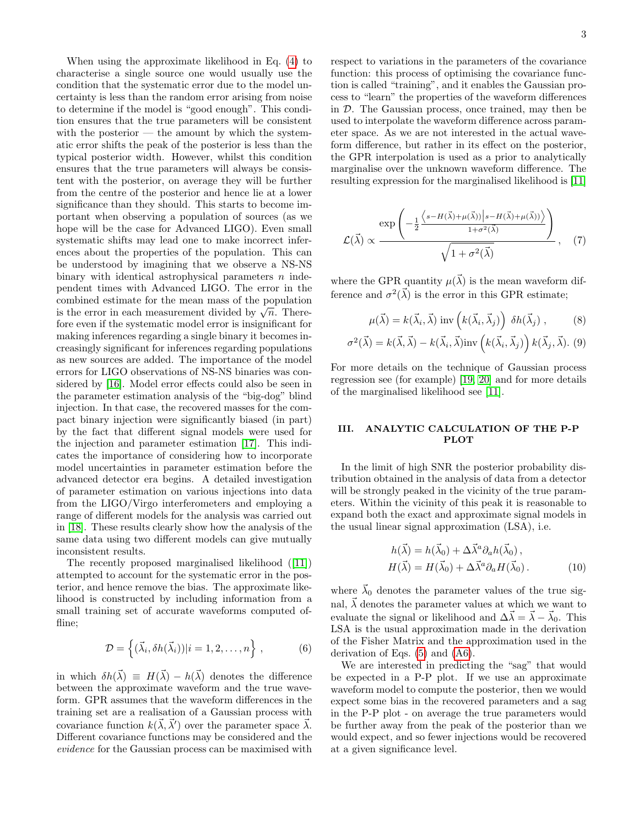When using the approximate likelihood in Eq. [\(4\)](#page-1-4) to characterise a single source one would usually use the condition that the systematic error due to the model uncertainty is less than the random error arising from noise to determine if the model is "good enough". This condition ensures that the true parameters will be consistent with the posterior  $-$  the amount by which the systematic error shifts the peak of the posterior is less than the typical posterior width. However, whilst this condition ensures that the true parameters will always be consistent with the posterior, on average they will be further from the centre of the posterior and hence lie at a lower significance than they should. This starts to become important when observing a population of sources (as we hope will be the case for Advanced LIGO). Even small systematic shifts may lead one to make incorrect inferences about the properties of the population. This can be understood by imagining that we observe a NS-NS binary with identical astrophysical parameters  $n$  independent times with Advanced LIGO. The error in the combined estimate for the mean mass of the population combined estimate for the mean mass of the population<br>is the error in each measurement divided by  $\sqrt{n}$ . Therefore even if the systematic model error is insignificant for making inferences regarding a single binary it becomes increasingly significant for inferences regarding populations as new sources are added. The importance of the model errors for LIGO observations of NS-NS binaries was considered by [\[16\]](#page-10-5). Model error effects could also be seen in the parameter estimation analysis of the "big-dog" blind injection. In that case, the recovered masses for the compact binary injection were significantly biased (in part) by the fact that different signal models were used for the injection and parameter estimation [\[17\]](#page-10-6). This indicates the importance of considering how to incorporate model uncertainties in parameter estimation before the advanced detector era begins. A detailed investigation of parameter estimation on various injections into data from the LIGO/Virgo interferometers and employing a range of different models for the analysis was carried out in [\[18\]](#page-10-7). These results clearly show how the analysis of the same data using two different models can give mutually inconsistent results.

The recently proposed marginalised likelihood([\[11\]](#page-9-8)) attempted to account for the systematic error in the posterior, and hence remove the bias. The approximate likelihood is constructed by including information from a small training set of accurate waveforms computed offline;

$$
\mathcal{D} = \left\{ (\vec{\lambda}_i, \delta h(\vec{\lambda}_i)) | i = 1, 2, \dots, n \right\},\tag{6}
$$

in which  $\delta h(\vec{\lambda}) \equiv H(\vec{\lambda}) - h(\vec{\lambda})$  denotes the difference between the approximate waveform and the true waveform. GPR assumes that the waveform differences in the training set are a realisation of a Gaussian process with covariance function  $k(\vec{\lambda}, \vec{\lambda}')$  over the parameter space  $\vec{\lambda}$ . Different covariance functions may be considered and the evidence for the Gaussian process can be maximised with respect to variations in the parameters of the covariance function: this process of optimising the covariance function is called "training", and it enables the Gaussian process to "learn" the properties of the waveform differences in D. The Gaussian process, once trained, may then be used to interpolate the waveform difference across parameter space. As we are not interested in the actual waveform difference, but rather in its effect on the posterior, the GPR interpolation is used as a prior to analytically marginalise over the unknown waveform difference. The resulting expression for the marginalised likelihood is [\[11\]](#page-9-8)

<span id="page-2-1"></span>
$$
\mathcal{L}(\vec{\lambda}) \propto \frac{\exp\left(-\frac{1}{2}\frac{\left\langle s - H(\vec{\lambda}) + \mu(\vec{\lambda})) \right| s - H(\vec{\lambda}) + \mu(\vec{\lambda})\right\rangle}{1 + \sigma^2(\vec{\lambda})}\right)}{\sqrt{1 + \sigma^2(\vec{\lambda})}}, \quad (7)
$$

where the GPR quantity  $\mu(\vec{\lambda})$  is the mean waveform difference and  $\sigma^2(\vec{\lambda})$  is the error in this GPR estimate;

$$
\mu(\vec{\lambda}) = k(\vec{\lambda}_i, \vec{\lambda}) \text{ inv}\left(k(\vec{\lambda}_i, \vec{\lambda}_j)\right) \delta h(\vec{\lambda}_j), \quad (8)
$$

<span id="page-2-2"></span>
$$
\sigma^{2}(\vec{\lambda}) = k(\vec{\lambda}, \vec{\lambda}) - k(\vec{\lambda}_{i}, \vec{\lambda}) \text{inv}\left(k(\vec{\lambda}_{i}, \vec{\lambda}_{j})\right) k(\vec{\lambda}_{j}, \vec{\lambda}).
$$
 (9)

For more details on the technique of Gaussian process regression see (for example) [\[19,](#page-10-8) [20\]](#page-10-9) and for more details of the marginalised likelihood see [\[11\]](#page-9-8).

# <span id="page-2-0"></span>III. ANALYTIC CALCULATION OF THE P-P PLOT

In the limit of high SNR the posterior probability distribution obtained in the analysis of data from a detector will be strongly peaked in the vicinity of the true parameters. Within the vicinity of this peak it is reasonable to expand both the exact and approximate signal models in the usual linear signal approximation (LSA), i.e.

$$
h(\vec{\lambda}) = h(\vec{\lambda}_0) + \Delta \vec{\lambda}^a \partial_a h(\vec{\lambda}_0),
$$
  
\n
$$
H(\vec{\lambda}) = H(\vec{\lambda}_0) + \Delta \vec{\lambda}^a \partial_a H(\vec{\lambda}_0).
$$
 (10)

where  $\lambda_0$  denotes the parameter values of the true signal,  $\vec{\lambda}$  denotes the parameter values at which we want to evaluate the signal or likelihood and  $\Delta \vec{\lambda} = \vec{\lambda} - \vec{\lambda}_0$ . This LSA is the usual approximation made in the derivation of the Fisher Matrix and the approximation used in the derivation of Eqs. [\(5\)](#page-1-5) and [\(A6\)](#page-10-4).

We are interested in predicting the "sag" that would be expected in a P-P plot. If we use an approximate waveform model to compute the posterior, then we would expect some bias in the recovered parameters and a sag in the P-P plot - on average the true parameters would be further away from the peak of the posterior than we would expect, and so fewer injections would be recovered at a given significance level.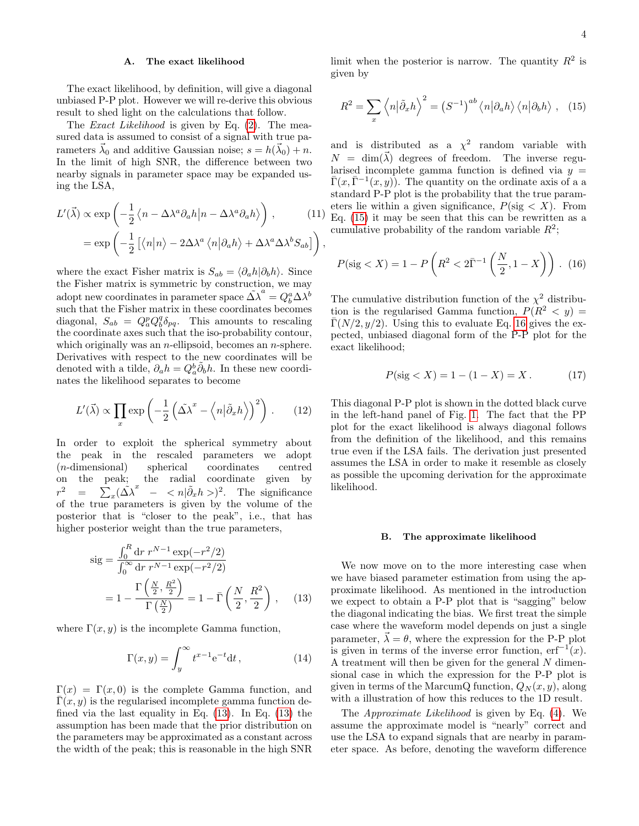# <span id="page-3-3"></span>A. The exact likelihood

The exact likelihood, by definition, will give a diagonal unbiased P-P plot. However we will re-derive this obvious result to shed light on the calculations that follow.

The Exact Likelihood is given by Eq. [\(2\)](#page-1-3). The measured data is assumed to consist of a signal with true parameters  $\vec{\lambda}_0$  and additive Gaussian noise;  $s = h(\vec{\lambda}_0) + n$ . In the limit of high SNR, the difference between two nearby signals in parameter space may be expanded using the LSA,

$$
L'(\vec{\lambda}) \propto \exp\left(-\frac{1}{2}\left\langle n - \Delta\lambda^a \partial_a h \middle| n - \Delta\lambda^a \partial_a h \right\rangle\right), \qquad (11)
$$

$$
= \exp\left(-\frac{1}{2}\left[\left\langle n \middle| n \right\rangle - 2\Delta\lambda^a \left\langle n \middle| \partial_a h \right\rangle + \Delta\lambda^a \Delta\lambda^b S_{ab}\right]\right),
$$

where the exact Fisher matrix is  $S_{ab} = \langle \partial_a h | \partial_b h \rangle$ . Since the Fisher matrix is symmetric by construction, we may adopt new coordinates in parameter space  $\tilde{\Delta \lambda}^a = Q_b^a \Delta \tilde{\lambda}^b$ such that the Fisher matrix in these coordinates becomes diagonal,  $S_{ab} = Q_a^p Q_b^q \delta_{pq}$ . This amounts to rescaling the coordinate axes such that the iso-probability contour, which originally was an  $n$ -ellipsoid, becomes an  $n$ -sphere. Derivatives with respect to the new coordinates will be denoted with a tilde,  $\partial_a h = Q_a^b \tilde{\partial}_b h$ . In these new coordinates the likelihood separates to become

$$
L'(\vec{\lambda}) \propto \prod_{x} \exp\left(-\frac{1}{2}\left(\tilde{\Delta \lambda}^x - \left\langle n|\tilde{\partial}_x h \right\rangle\right)^2\right). \tag{12}
$$

In order to exploit the spherical symmetry about the peak in the rescaled parameters we adopt (n-dimensional) spherical coordinates centred on the peak; the radial coordinate given by  $r^2$ <sup>2</sup> =  $\sum_{x} (\tilde{\Delta \lambda}^{x} - \langle n | \tilde{\partial}_{x} h \rangle)^{2}$ . The significance of the true parameters is given by the volume of the posterior that is "closer to the peak", i.e., that has higher posterior weight than the true parameters,

<span id="page-3-0"></span>
$$
\begin{split} \text{sig} &= \frac{\int_0^R \text{d}r \, r^{N-1} \exp(-r^2/2)}{\int_0^\infty \text{d}r \, r^{N-1} \exp(-r^2/2)} \\ &= 1 - \frac{\Gamma\left(\frac{N}{2}, \frac{R^2}{2}\right)}{\Gamma\left(\frac{N}{2}\right)} = 1 - \bar{\Gamma}\left(\frac{N}{2}, \frac{R^2}{2}\right) \,, \end{split} \tag{13}
$$

where  $\Gamma(x, y)$  is the incomplete Gamma function,

$$
\Gamma(x,y) = \int_{y}^{\infty} t^{x-1} e^{-t} dt,
$$
\n(14)

 $\Gamma(x) = \Gamma(x,0)$  is the complete Gamma function, and  $\Gamma(x, y)$  is the regularised incomplete gamma function defined via the last equality in Eq. [\(13\)](#page-3-0). In Eq. [\(13\)](#page-3-0) the assumption has been made that the prior distribution on the parameters may be approximated as a constant across the width of the peak; this is reasonable in the high SNR

<span id="page-3-1"></span>limit when the posterior is narrow. The quantity  $R^2$  is given by

$$
R^{2} = \sum_{x} \left\langle n \left| \tilde{\partial}_{x} h \right\rangle^{2} = \left( S^{-1} \right)^{ab} \left\langle n \left| \partial_{a} h \right\rangle \left\langle n \left| \partial_{b} h \right\rangle \right., \quad (15)
$$

and is distributed as a  $\chi^2$  random variable with  $N = \dim(\vec{\lambda})$  degrees of freedom. The inverse regularised incomplete gamma function is defined via  $y =$  $\overline{\Gamma}(x,\overline{\Gamma}^{-1}(x,y))$ . The quantity on the ordinate axis of a a standard P-P plot is the probability that the true parameters lie within a given significance,  $P(\text{sig} < X)$ . From Eq. [\(15\)](#page-3-1) it may be seen that this can be rewritten as a cumulative probability of the random variable  $R^2$ ;

<span id="page-3-2"></span>
$$
P(\text{sig} < X) = 1 - P\left(R^2 < 2\bar{\Gamma}^{-1}\left(\frac{N}{2}, 1 - X\right)\right). \tag{16}
$$

The cumulative distribution function of the  $\chi^2$  distribution is the regularised Gamma function,  $P(R^2 \lt y)$  =  $\Gamma(N/2, y/2)$ . Using this to evaluate Eq. [16](#page-3-2) gives the expected, unbiased diagonal form of the P-P plot for the exact likelihood;

<span id="page-3-4"></span>
$$
P(\text{sig} < X) = 1 - (1 - X) = X. \tag{17}
$$

This diagonal P-P plot is shown in the dotted black curve in the left-hand panel of Fig. [1.](#page-8-0) The fact that the PP plot for the exact likelihood is always diagonal follows from the definition of the likelihood, and this remains true even if the LSA fails. The derivation just presented assumes the LSA in order to make it resemble as closely as possible the upcoming derivation for the approximate likelihood.

## B. The approximate likelihood

We now move on to the more interesting case when we have biased parameter estimation from using the approximate likelihood. As mentioned in the introduction we expect to obtain a P-P plot that is "sagging" below the diagonal indicating the bias. We first treat the simple case where the waveform model depends on just a single parameter,  $\vec{\lambda} = \theta$ , where the expression for the P-P plot is given in terms of the inverse error function,  $erf^{-1}(x)$ . A treatment will then be given for the general N dimensional case in which the expression for the P-P plot is given in terms of the MarcumQ function,  $Q_N(x, y)$ , along with a illustration of how this reduces to the 1D result.

The Approximate Likelihood is given by Eq. [\(4\)](#page-1-4). We assume the approximate model is "nearly" correct and use the LSA to expand signals that are nearby in parameter space. As before, denoting the waveform difference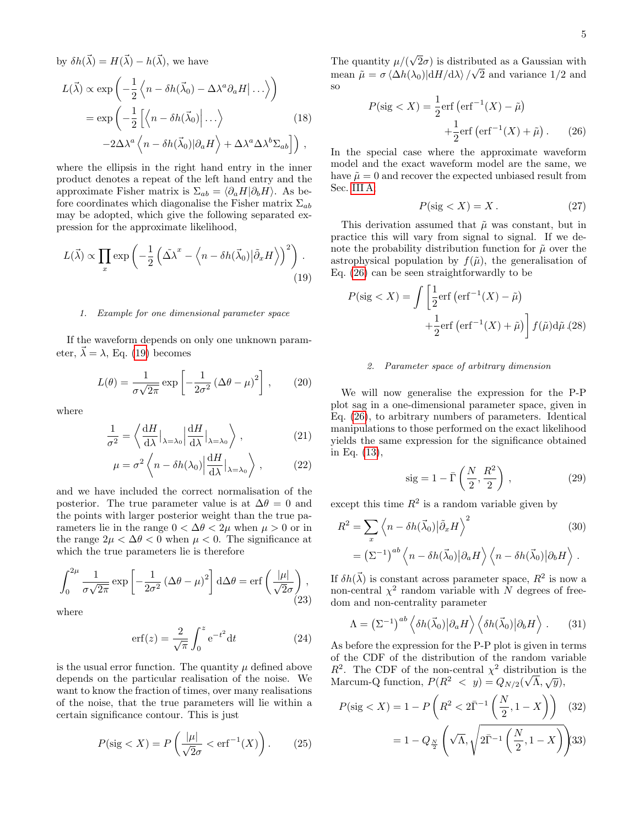by  $\delta h(\vec{\lambda}) = H(\vec{\lambda}) - h(\vec{\lambda})$ , we have

$$
L(\vec{\lambda}) \propto \exp\left(-\frac{1}{2}\left\langle n - \delta h(\vec{\lambda}_0) - \Delta \lambda^a \partial_a H \Big| \dots \right\rangle\right)
$$
  
=  $\exp\left(-\frac{1}{2}\left[\left\langle n - \delta h(\vec{\lambda}_0) \Big| \dots \right\rangle \right)$  (18)  
 $-2\Delta \lambda^a \left\langle n - \delta h(\vec{\lambda}_0) \Big| \partial_a H \right\rangle + \Delta \lambda^a \Delta \lambda^b \Sigma_{ab} \right]\right),$ 

where the ellipsis in the right hand entry in the inner product denotes a repeat of the left hand entry and the approximate Fisher matrix is  $\Sigma_{ab} = \langle \partial_a H | \partial_b H \rangle$ . As before coordinates which diagonalise the Fisher matrix  $\Sigma_{ab}$ may be adopted, which give the following separated expression for the approximate likelihood,

$$
L(\vec{\lambda}) \propto \prod_{x} \exp\left(-\frac{1}{2} \left(\tilde{\Delta \lambda}^x - \left\langle n - \delta h(\vec{\lambda}_0) \middle| \tilde{\partial}_x H \right\rangle \right)^2\right).
$$
\n(19)

### 1. Example for one dimensional parameter space

If the waveform depends on only one unknown parameter,  $\vec{\lambda} = \lambda$ , Eq. [\(19\)](#page-4-0) becomes

$$
L(\theta) = \frac{1}{\sigma\sqrt{2\pi}} \exp\left[-\frac{1}{2\sigma^2} \left(\Delta\theta - \mu\right)^2\right],\qquad(20)
$$

where

$$
\frac{1}{\sigma^2} = \left\langle \frac{\mathrm{d}H}{\mathrm{d}\lambda} \big|_{\lambda = \lambda_0} \left| \frac{\mathrm{d}H}{\mathrm{d}\lambda} \big|_{\lambda = \lambda_0} \right\rangle ,\tag{21}
$$

$$
\mu = \sigma^2 \left\langle n - \delta h(\lambda_0) \left| \frac{\mathrm{d}H}{\mathrm{d}\lambda} \right|_{\lambda = \lambda_0} \right\rangle, \tag{22}
$$

and we have included the correct normalisation of the posterior. The true parameter value is at  $\Delta\theta = 0$  and the points with larger posterior weight than the true parameters lie in the range  $0 < \Delta \theta < 2\mu$  when  $\mu > 0$  or in the range  $2\mu < \Delta\theta < 0$  when  $\mu < 0$ . The significance at which the true parameters lie is therefore

$$
\int_0^{2\mu} \frac{1}{\sigma\sqrt{2\pi}} \exp\left[-\frac{1}{2\sigma^2} \left(\Delta\theta - \mu\right)^2\right] d\Delta\theta = \text{erf}\left(\frac{|\mu|}{\sqrt{2}\sigma}\right),\tag{23}
$$

where

$$
\operatorname{erf}(z) = \frac{2}{\sqrt{\pi}} \int_0^z e^{-t^2} dt \tag{24}
$$

is the usual error function. The quantity  $\mu$  defined above depends on the particular realisation of the noise. We want to know the fraction of times, over many realisations of the noise, that the true parameters will lie within a certain significance contour. This is just

$$
P(\text{sig} < X) = P\left(\frac{|\mu|}{\sqrt{2}\sigma} < \text{erf}^{-1}(X)\right). \tag{25}
$$

The quantity  $\mu/(\theta)$ √  $2\sigma$ ) is distributed as a Gaussian with mean  $\tilde{\mu} = \sigma \langle \Delta h(\lambda_0) | \mathrm{d}H/\mathrm{d}\lambda \rangle / \sqrt{2}$  and variance 1/2 and so

<span id="page-4-1"></span>
$$
P(\text{sig} < X) = \frac{1}{2} \text{erf} \left( \text{erf}^{-1}(X) - \tilde{\mu} \right) + \frac{1}{2} \text{erf} \left( \text{erf}^{-1}(X) + \tilde{\mu} \right). \tag{26}
$$

In the special case where the approximate waveform model and the exact waveform model are the same, we have  $\tilde{\mu} = 0$  and recover the expected unbiased result from Sec. [III A;](#page-3-3)

$$
P(\text{sig} < X) = X. \tag{27}
$$

<span id="page-4-0"></span>This derivation assumed that  $\tilde{\mu}$  was constant, but in practice this will vary from signal to signal. If we denote the probability distribution function for  $\tilde{\mu}$  over the astrophysical population by  $f(\tilde{\mu})$ , the generalisation of Eq. [\(26\)](#page-4-1) can be seen straightforwardly to be

<span id="page-4-2"></span>
$$
P(\text{sig} < X) = \int \left[ \frac{1}{2} \text{erf } \left( \text{erf}^{-1}(X) - \tilde{\mu} \right) + \frac{1}{2} \text{erf } \left( \text{erf}^{-1}(X) + \tilde{\mu} \right) \right] f(\tilde{\mu}) \, \mathrm{d}\tilde{\mu} \tag{28}
$$

# 2. Parameter space of arbitrary dimension

We will now generalise the expression for the P-P plot sag in a one-dimensional parameter space, given in Eq. [\(26\)](#page-4-1), to arbitrary numbers of parameters. Identical manipulations to those performed on the exact likelihood yields the same expression for the significance obtained in Eq. [\(13\)](#page-3-0),

<span id="page-4-4"></span>
$$
sig = 1 - \bar{\Gamma}\left(\frac{N}{2}, \frac{R^2}{2}\right),\tag{29}
$$

except this time  $R^2$  is a random variable given by

<span id="page-4-5"></span>
$$
R^{2} = \sum_{x} \left\langle n - \delta h(\vec{\lambda}_{0}) \Big| \tilde{\partial}_{x} H \right\rangle^{2} \qquad (30)
$$

$$
= \left(\Sigma^{-1}\right)^{ab} \left\langle n - \delta h(\vec{\lambda}_{0}) \Big| \partial_{a} H \right\rangle \left\langle n - \delta h(\vec{\lambda}_{0}) \Big| \partial_{b} H \right\rangle.
$$

If  $\delta h(\vec{\lambda})$  is constant across parameter space,  $R^2$  is now a non-central  $\chi^2$  random variable with N degrees of freedom and non-centrality parameter

<span id="page-4-6"></span>
$$
\Lambda = \left(\Sigma^{-1}\right)^{ab} \left\langle \delta h(\vec{\lambda}_0) \middle| \partial_a H \right\rangle \left\langle \delta h(\vec{\lambda}_0) \middle| \partial_b H \right\rangle. \tag{31}
$$

As before the expression for the P-P plot is given in terms of the CDF of the distribution of the random variable  $R^2$ . The CDF of the non-central  $\chi^2$  distribution is the Marcum-Q function,  $P(R^2 \lt y) = Q_{N/2}(\sqrt{\Lambda}, \sqrt{y}),$ 

<span id="page-4-3"></span>
$$
P(\text{sig} < X) = 1 - P\left(R^2 < 2\bar{\Gamma}^{-1}\left(\frac{N}{2}, 1 - X\right)\right) \tag{32}
$$
\n
$$
= 1 - Q_{\frac{N}{2}}\left(\sqrt{\Lambda}, \sqrt{2\bar{\Gamma}^{-1}\left(\frac{N}{2}, 1 - X\right)}\right) \tag{33}
$$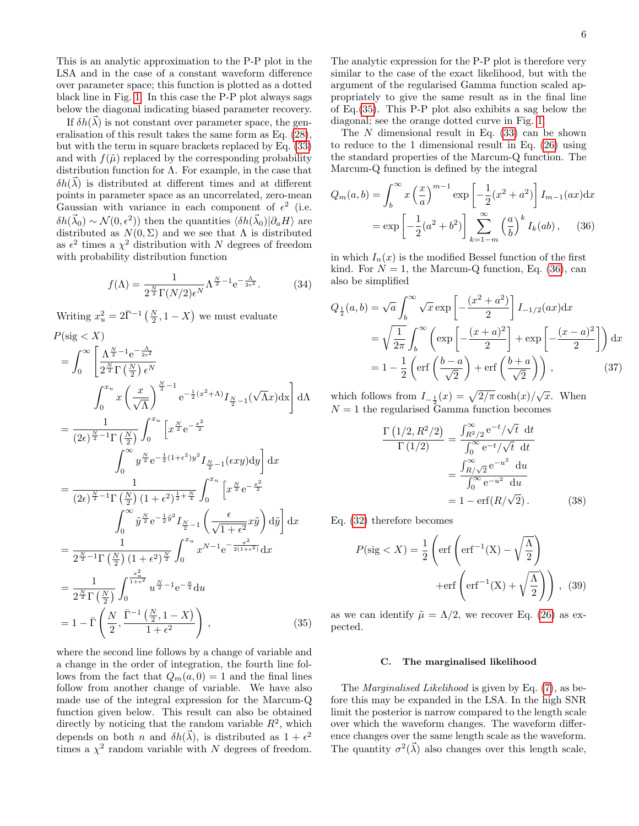This is an analytic approximation to the P-P plot in the LSA and in the case of a constant waveform difference over parameter space; this function is plotted as a dotted black line in Fig. [1.](#page-8-0) In this case the P-P plot always sags below the diagonal indicating biased parameter recovery.

If  $\delta h(\vec{\lambda})$  is not constant over parameter space, the generalisation of this result takes the same form as Eq. [\(28\)](#page-4-2), but with the term in square brackets replaced by Eq. [\(33\)](#page-4-3) and with  $f(\tilde{\mu})$  replaced by the corresponding probability distribution function for  $\Lambda$ . For example, in the case that  $\delta h(\vec{\lambda})$  is distributed at different times and at different points in parameter space as an uncorrelated, zero-mean Gaussian with variance in each component of  $\epsilon^2$  (i.e.  $\delta h(\vec{\lambda}_0) \sim \mathcal{N}(0, \epsilon^2)$  then the quantities  $\langle \delta h(\vec{\lambda}_0) | \partial_a H \rangle$  are distributed as  $N(0, \Sigma)$  and we see that  $\Lambda$  is distributed as  $\epsilon^2$  times a  $\chi^2$  distribution with N degrees of freedom with probability distribution function

$$
f(\Lambda) = \frac{1}{2^{\frac{N}{2}} \Gamma(N/2) \epsilon^N} \Lambda^{\frac{N}{2}-1} e^{-\frac{\Lambda}{2\epsilon^2}}.
$$
 (34)

Writing  $x_u^2 = 2\overline{\Gamma}^{-1}(\frac{N}{2}, 1 - X)$  we must evaluate

<span id="page-5-0"></span>
$$
P(\text{sig} < X) = \int_0^\infty \left[ \frac{\Lambda^{\frac{N}{2}-1} e^{-\frac{\Lambda}{2\epsilon^2}}}{2^{\frac{N}{2}} \Gamma(\frac{N}{2}) \epsilon^N} \right. \\ \int_0^{x_u} x \left( \frac{x}{\sqrt{\Lambda}} \right)^{\frac{N}{2}-1} e^{-\frac{1}{2}(x^2+\Lambda)} I_{\frac{N}{2}-1}(\sqrt{\Lambda}x) dx \right] d\Lambda
$$
  
\n
$$
= \frac{1}{(2\epsilon)^{\frac{N}{2}-1} \Gamma(\frac{N}{2})} \int_0^{x_u} \left[ x^{\frac{N}{2}} e^{-\frac{x^2}{2}} \right. \\ \int_0^\infty y^{\frac{N}{2}} e^{-\frac{1}{2}(1+\epsilon^2)y^2} I_{\frac{N}{2}-1}(\epsilon xy) dy \right] dx
$$
  
\n
$$
= \frac{1}{(2\epsilon)^{\frac{N}{2}-1} \Gamma(\frac{N}{2}) (1+\epsilon^2)^{\frac{1}{2}+\frac{N}{4}}} \int_0^{x_u} \left[ x^{\frac{N}{2}} e^{-\frac{x^2}{2}} \right. \\ \int_0^\infty \tilde{y}^{\frac{N}{2}} e^{-\frac{1}{2}\tilde{y}^2} I_{\frac{N}{2}-1} \left( \frac{\epsilon}{\sqrt{1+\epsilon^2}} x \tilde{y} \right) d\tilde{y} \right] dx
$$
  
\n
$$
= \frac{1}{2^{\frac{N}{2}-1} \Gamma(\frac{N}{2}) (1+\epsilon^2)^{\frac{N}{2}}} \int_0^{x_u} x^{N-1} e^{-\frac{x^2}{2(1+\epsilon^2)}} dx
$$
  
\n
$$
= \frac{1}{2^{\frac{N}{2}} \Gamma(\frac{N}{2})} \int_0^{\frac{x_u^2}{1+\epsilon^2}} u^{\frac{N}{2}-1} e^{-\frac{u}{2}} du
$$
  
\n
$$
= 1 - \bar{\Gamma}(\frac{N}{2}, \frac{\bar{\Gamma}^{-1}(\frac{N}{2}, 1-X)}{1+\epsilon^2}), \qquad (35)
$$

where the second line follows by a change of variable and a change in the order of integration, the fourth line follows from the fact that  $Q_m(a, 0) = 1$  and the final lines follow from another change of variable. We have also made use of the integral expression for the Marcum-Q function given below. This result can also be obtained directly by noticing that the random variable  $R^2$ , which depends on both *n* and  $\delta h(\vec{\lambda})$ , is distributed as  $1 + \epsilon^2$ times a  $\chi^2$  random variable with N degrees of freedom. The analytic expression for the P-P plot is therefore very similar to the case of the exact likelihood, but with the argument of the regularised Gamma function scaled appropriately to give the same result as in the final line of Eq.[\(35\)](#page-5-0). This P-P plot also exhibits a sag below the diagonal; see the orange dotted curve in Fig. [1.](#page-8-0)

The  $N$  dimensional result in Eq. [\(33\)](#page-4-3) can be shown to reduce to the 1 dimensional result in Eq. [\(26\)](#page-4-1) using the standard properties of the Marcum-Q function. The Marcum-Q function is defined by the integral

<span id="page-5-1"></span>
$$
Q_m(a,b) = \int_b^\infty x \left(\frac{x}{a}\right)^{m-1} \exp\left[-\frac{1}{2}(x^2 + a^2)\right] I_{m-1}(ax) dx
$$

$$
= \exp\left[-\frac{1}{2}(a^2 + b^2)\right] \sum_{k=1-m}^\infty \left(\frac{a}{b}\right)^k I_k(ab), \quad (36)
$$

in which  $I_n(x)$  is the modified Bessel function of the first kind. For  $N = 1$ , the Marcum-Q function, Eq. [\(36\)](#page-5-1), can also be simplified

$$
Q_{\frac{1}{2}}(a,b) = \sqrt{a} \int_b^{\infty} \sqrt{x} \exp\left[-\frac{(x^2 + a^2)}{2}\right] I_{-1/2}(ax) dx
$$
  
=  $\sqrt{\frac{1}{2\pi}} \int_b^{\infty} \left( \exp\left[-\frac{(x+a)^2}{2}\right] + \exp\left[-\frac{(x-a)^2}{2}\right] \right) dx$   
=  $1 - \frac{1}{2} \left( \text{erf}\left(\frac{b-a}{\sqrt{2}}\right) + \text{erf}\left(\frac{b+a}{\sqrt{2}}\right) \right),$  (37)

which follows from  $I_{-\frac{1}{2}}(x) = \sqrt{\frac{2}{\pi}} \cosh(x) / \sqrt{x}$ . When  $N = 1$  the regularised Gamma function becomes

$$
\frac{\Gamma(1/2, R^2/2)}{\Gamma(1/2)} = \frac{\int_{R^2/2}^{\infty} e^{-t} / \sqrt{t} dt}{\int_{0}^{\infty} e^{-t} / \sqrt{t} dt}
$$

$$
= \frac{\int_{R/\sqrt{2}}^{\infty} e^{-u^2} du}{\int_{0}^{\infty} e^{-u^2} du}
$$

$$
= 1 - \text{erf}(R/\sqrt{2}). \tag{38}
$$

Eq. [\(32\)](#page-4-3) therefore becomes

$$
P(\text{sig} < X) = \frac{1}{2} \left( \text{erf} \left( \text{erf}^{-1}(X) - \sqrt{\frac{\Lambda}{2}} \right) + \text{erf} \left( \text{erf}^{-1}(X) + \sqrt{\frac{\Lambda}{2}} \right) \right), \tag{39}
$$

as we can identify  $\tilde{\mu} = \Lambda/2$ , we recover Eq. [\(26\)](#page-4-1) as expected.

# C. The marginalised likelihood

The *Marginalised Likelihood* is given by Eq. [\(7\)](#page-2-1), as before this may be expanded in the LSA. In the high SNR limit the posterior is narrow compared to the length scale over which the waveform changes. The waveform difference changes over the same length scale as the waveform. The quantity  $\sigma^2(\vec{\lambda})$  also changes over this length scale,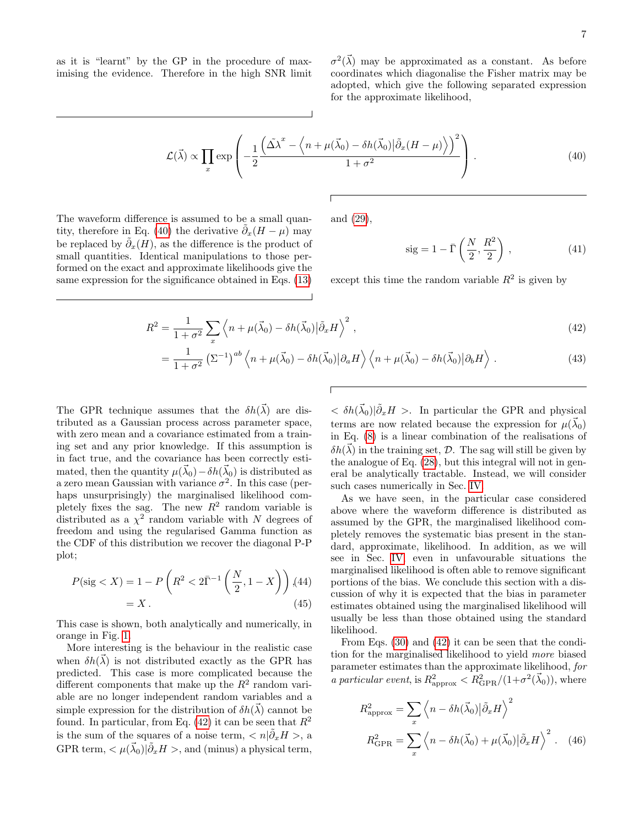<span id="page-6-0"></span>as it is "learnt" by the GP in the procedure of maximising the evidence. Therefore in the high SNR limit

 $\sigma^2(\vec{\lambda})$  may be approximated as a constant. As before coordinates which diagonalise the Fisher matrix may be adopted, which give the following separated expression for the approximate likelihood,

$$
\mathcal{L}(\vec{\lambda}) \propto \prod_{x} \exp\left(-\frac{1}{2} \frac{\left(\Delta \vec{\lambda}^x - \left\langle n + \mu(\vec{\lambda}_0) - \delta h(\vec{\lambda}_0) \right| \tilde{\partial}_x (H - \mu) \right\rangle\right)^2}{1 + \sigma^2}\right). \tag{40}
$$

The waveform difference is assumed to be a small quan-tity, therefore in Eq. [\(40\)](#page-6-0) the derivative  $\tilde{\partial}_x(H - \mu)$  may be replaced by  $\tilde{\partial}_x(H)$ , as the difference is the product of small quantities. Identical manipulations to those performed on the exact and approximate likelihoods give the same expression for the significance obtained in Eqs. [\(13\)](#page-3-0)

and [\(29\)](#page-4-4),

$$
sig = 1 - \bar{\Gamma}\left(\frac{N}{2}, \frac{R^2}{2}\right),\tag{41}
$$

except this time the random variable  $R^2$  is given by

<span id="page-6-1"></span>
$$
R^2 = \frac{1}{1+\sigma^2} \sum_{x} \left\langle n + \mu(\vec{\lambda}_0) - \delta h(\vec{\lambda}_0) \middle| \tilde{\partial}_x H \right\rangle^2, \tag{42}
$$

$$
= \frac{1}{1+\sigma^2} \left( \Sigma^{-1} \right)^{ab} \left\langle n + \mu(\vec{\lambda}_0) - \delta h(\vec{\lambda}_0) \middle| \partial_a H \right\rangle \left\langle n + \mu(\vec{\lambda}_0) - \delta h(\vec{\lambda}_0) \middle| \partial_b H \right\rangle. \tag{43}
$$

The GPR technique assumes that the  $\delta h(\vec{\lambda})$  are distributed as a Gaussian process across parameter space, with zero mean and a covariance estimated from a training set and any prior knowledge. If this assumption is in fact true, and the covariance has been correctly estimated, then the quantity  $\mu(\vec{\lambda}_0) - \delta h(\vec{\lambda}_0)$  is distributed as a zero mean Gaussian with variance  $\sigma^2$ . In this case (perhaps unsurprisingly) the marginalised likelihood completely fixes the sag. The new  $R^2$  random variable is distributed as a  $\chi^2$  random variable with N degrees of freedom and using the regularised Gamma function as the CDF of this distribution we recover the diagonal P-P plot;

<span id="page-6-2"></span>
$$
P(\text{sig} < X) = 1 - P\left(R^2 < 2\bar{\Gamma}^{-1}\left(\frac{N}{2}, 1 - X\right)\right) \tag{44} = X. \tag{45}
$$

This case is shown, both analytically and numerically, in orange in Fig. [1.](#page-8-0)

More interesting is the behaviour in the realistic case when  $\delta h(\vec{\lambda})$  is not distributed exactly as the GPR has predicted. This case is more complicated because the different components that make up the  $R^2$  random variable are no longer independent random variables and a simple expression for the distribution of  $\delta h(\vec{\lambda})$  cannot be found. In particular, from Eq. [\(42\)](#page-6-1) it can be seen that  $R^2$ is the sum of the squares of a noise term,  $\langle n|\tilde{\partial}_x H \rangle$ , a GPR term,  $\langle \mu(\vec{\lambda}_0)|\tilde{\partial}_x H \rangle$ , and (minus) a physical term,

 $< \delta h(\vec{\lambda}_0)|\tilde{\partial}_x H >$ . In particular the GPR and physical terms are now related because the expression for  $\mu(\vec{\lambda}_0)$ in Eq. [\(8\)](#page-2-2) is a linear combination of the realisations of  $\delta h(\vec{\lambda})$  in the training set, D. The sag will still be given by the analogue of Eq. [\(28\)](#page-4-2), but this integral will not in general be analytically tractable. Instead, we will consider such cases numerically in Sec. [IV.](#page-7-0)

As we have seen, in the particular case considered above where the waveform difference is distributed as assumed by the GPR, the marginalised likelihood completely removes the systematic bias present in the standard, approximate, likelihood. In addition, as we will see in Sec. [IV,](#page-7-0) even in unfavourable situations the marginalised likelihood is often able to remove significant portions of the bias. We conclude this section with a discussion of why it is expected that the bias in parameter estimates obtained using the marginalised likelihood will usually be less than those obtained using the standard likelihood.

From Eqs. [\(30\)](#page-4-5) and [\(42\)](#page-6-1) it can be seen that the condition for the marginalised likelihood to yield more biased parameter estimates than the approximate likelihood, for a particular event, is  $R_{\text{approx}}^2 < R_{\text{GPR}}^2/(1+\sigma^2(\vec{\lambda}_0))$ , where

$$
R_{\rm approx}^2 = \sum_x \left\langle n - \delta h(\vec{\lambda}_0) | \tilde{\partial}_x H \right\rangle^2
$$

$$
R_{\rm GPR}^2 = \sum_x \left\langle n - \delta h(\vec{\lambda}_0) + \mu(\vec{\lambda}_0) | \tilde{\partial}_x H \right\rangle^2. \quad (46)
$$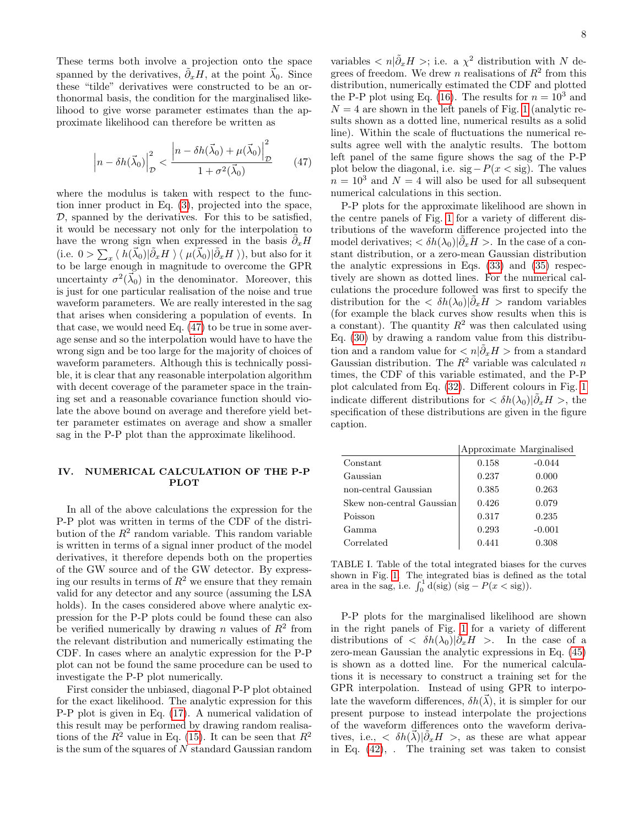These terms both involve a projection onto the space spanned by the derivatives,  $\tilde{\partial}_x H$ , at the point  $\vec{\lambda}_0$ . Since these "tilde" derivatives were constructed to be an orthonormal basis, the condition for the marginalised likelihood to give worse parameter estimates than the approximate likelihood can therefore be written as

$$
\left| n - \delta h(\vec{\lambda}_0) \right|_{\mathcal{D}}^2 < \frac{\left| n - \delta h(\vec{\lambda}_0) + \mu(\vec{\lambda}_0) \right|_{\mathcal{D}}^2}{1 + \sigma^2(\vec{\lambda}_0)} \tag{47}
$$

where the modulus is taken with respect to the function inner product in Eq. [\(3\)](#page-1-2), projected into the space,  $D$ , spanned by the derivatives. For this to be satisfied, it would be necessary not only for the interpolation to have the wrong sign when expressed in the basis  $\tilde{\partial}_x H$ (i.e.  $0 > \sum_x \langle h(\vec{\lambda}_0) | \tilde{\partial}_x H \rangle \langle \mu(\vec{\lambda}_0) | \tilde{\partial}_x H \rangle$ ), but also for it to be large enough in magnitude to overcome the GPR uncertainty  $\sigma^2(\vec{\lambda}_0)$  in the denominator. Moreover, this is just for one particular realisation of the noise and true waveform parameters. We are really interested in the sag that arises when considering a population of events. In that case, we would need Eq. [\(47\)](#page-7-1) to be true in some average sense and so the interpolation would have to have the wrong sign and be too large for the majority of choices of waveform parameters. Although this is technically possible, it is clear that any reasonable interpolation algorithm with decent coverage of the parameter space in the training set and a reasonable covariance function should violate the above bound on average and therefore yield better parameter estimates on average and show a smaller sag in the P-P plot than the approximate likelihood.

# <span id="page-7-0"></span>IV. NUMERICAL CALCULATION OF THE P-P PLOT

In all of the above calculations the expression for the P-P plot was written in terms of the CDF of the distribution of the  $R^2$  random variable. This random variable is written in terms of a signal inner product of the model derivatives, it therefore depends both on the properties of the GW source and of the GW detector. By expressing our results in terms of  $R^2$  we ensure that they remain valid for any detector and any source (assuming the LSA holds). In the cases considered above where analytic expression for the P-P plots could be found these can also be verified numerically by drawing n values of  $R^2$  from the relevant distribution and numerically estimating the CDF. In cases where an analytic expression for the P-P plot can not be found the same procedure can be used to investigate the P-P plot numerically.

First consider the unbiased, diagonal P-P plot obtained for the exact likelihood. The analytic expression for this P-P plot is given in Eq. [\(17\)](#page-3-4). A numerical validation of this result may be performed by drawing random realisations of the  $R^2$  value in Eq. [\(15\)](#page-3-1). It can be seen that  $R^2$ is the sum of the squares of N standard Gaussian random

<span id="page-7-1"></span>variables  $\langle n|\tilde{\partial}_x H \rangle$ ; i.e. a  $\chi^2$  distribution with N degrees of freedom. We drew n realisations of  $R^2$  from this distribution, numerically estimated the CDF and plotted the P-P plot using Eq. [\(16\)](#page-3-2). The results for  $n = 10^3$  and  $N = 4$  are shown in the left panels of Fig. [1](#page-8-0) (analytic results shown as a dotted line, numerical results as a solid line). Within the scale of fluctuations the numerical results agree well with the analytic results. The bottom left panel of the same figure shows the sag of the P-P plot below the diagonal, i.e.  $sig-P(x < sig)$ . The values  $n = 10<sup>3</sup>$  and  $N = 4$  will also be used for all subsequent numerical calculations in this section.

P-P plots for the approximate likelihood are shown in the centre panels of Fig. [1](#page-8-0) for a variety of different distributions of the waveform difference projected into the model derivatives;  $\langle \delta h(\lambda_0)|\tilde{\partial}_x H \rangle$ . In the case of a constant distribution, or a zero-mean Gaussian distribution the analytic expressions in Eqs. [\(33\)](#page-4-3) and [\(35\)](#page-5-0) respectively are shown as dotted lines. For the numerical calculations the procedure followed was first to specify the distribution for the  $\langle \delta h(\lambda_0)|\tilde{\partial}_x H \rangle$  random variables (for example the black curves show results when this is a constant). The quantity  $R^2$  was then calculated using Eq. [\(30\)](#page-4-5) by drawing a random value from this distribution and a random value for  $\langle n|\tilde{\partial}_x H\rangle$  from a standard Gaussian distribution. The  $R^2$  variable was calculated n times, the CDF of this variable estimated, and the P-P plot calculated from Eq. [\(32\)](#page-4-3). Different colours in Fig. [1](#page-8-0) indicate different distributions for  $\langle \delta h(\lambda_0)|\tilde{\partial}_x H \rangle$ , the specification of these distributions are given in the figure caption.

|                           | Approximate Marginalised |          |
|---------------------------|--------------------------|----------|
| Constant                  | 0.158                    | $-0.044$ |
| Gaussian                  | 0.237                    | 0.000    |
| non-central Gaussian      | 0.385                    | 0.263    |
| Skew non-central Gaussian | 0.426                    | 0.079    |
| Poisson                   | 0.317                    | 0.235    |
| Gamma                     | 0.293                    | $-0.001$ |
| Correlated                | 0.441                    | 0.308    |

<span id="page-7-2"></span>TABLE I. Table of the total integrated biases for the curves shown in Fig. [1.](#page-8-0) The integrated bias is defined as the total area in the sag, i.e.  $\int_0^1 d(sig)$  (sig –  $P(x < sig)$ ).

P-P plots for the marginalised likelihood are shown in the right panels of Fig. [1](#page-8-0) for a variety of different distributions of  $\langle \delta h(\lambda_0)|\tilde{\partial}_x H \rangle$ . In the case of a zero-mean Gaussian the analytic expressions in Eq. [\(45\)](#page-6-2) is shown as a dotted line. For the numerical calculations it is necessary to construct a training set for the GPR interpolation. Instead of using GPR to interpolate the waveform differences,  $\delta h(\vec{\lambda})$ , it is simpler for our present purpose to instead interpolate the projections of the waveform differences onto the waveform derivatives, i.e.,  $\langle \delta h(\vec{\lambda}) | \tilde{\partial}_x H \rangle$ , as these are what appear in Eq. [\(42\)](#page-6-1), . The training set was taken to consist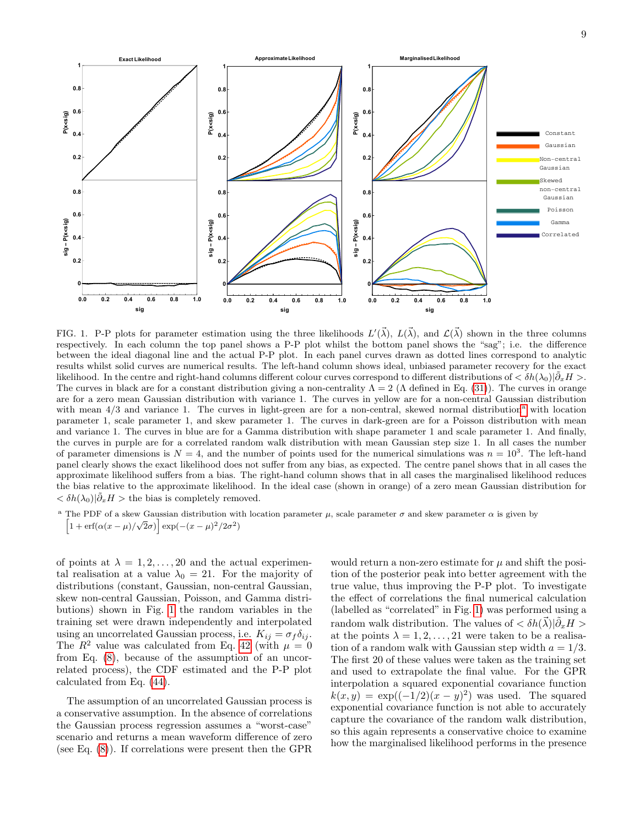

<span id="page-8-0"></span>FIG. 1. P-P plots for parameter estimation using the three likelihoods  $L'(\vec{\lambda}), L(\vec{\lambda})$ , and  $\mathcal{L}(\vec{\lambda})$  shown in the three columns respectively. In each column the top panel shows a P-P plot whilst the bottom panel shows the "sag"; i.e. the difference between the ideal diagonal line and the actual P-P plot. In each panel curves drawn as dotted lines correspond to analytic results whilst solid curves are numerical results. The left-hand column shows ideal, unbiased parameter recovery for the exact likelihood. In the centre and right-hand columns different colour curves correspond to different distributions of  $\langle \delta h(\lambda_0)|\tilde{\partial}_x H \rangle$ . The curves in black are for a constant distribution giving a non-centrality  $\Lambda = 2$  ( $\Lambda$  defined in Eq. [\(31\)](#page-4-6)). The curves in orange are for a zero mean Gaussian distribution with variance 1. The curves in yellow are for a non-central Gaussian distribution with me[a](#page-0-2)n  $4/3$  and variance 1. The curves in light-green are for a non-central, skewed normal distribution<sup>a</sup> with location parameter 1, scale parameter 1, and skew parameter 1. The curves in dark-green are for a Poisson distribution with mean and variance 1. The curves in blue are for a Gamma distribution with shape parameter 1 and scale parameter 1. And finally, the curves in purple are for a correlated random walk distribution with mean Gaussian step size 1. In all cases the number of parameter dimensions is  $N = 4$ , and the number of points used for the numerical simulations was  $n = 10<sup>3</sup>$ . The left-hand panel clearly shows the exact likelihood does not suffer from any bias, as expected. The centre panel shows that in all cases the approximate likelihood suffers from a bias. The right-hand column shows that in all cases the marginalised likelihood reduces the bias relative to the approximate likelihood. In the ideal case (shown in orange) of a zero mean Gaussian distribution for  $<\delta h(\lambda_0)|\tilde{\partial}_x H>$  the bias is completely removed.

<sup>a</sup> The PDF of a skew Gaussian distribution with location parameter  $\mu$ , scale parameter  $\sigma$  and skew parameter  $\alpha$  is given by  $\left[1 + \text{erf}(\alpha(x - \mu)/\sqrt{2}\sigma)\right]$  exp(−(x − μ)<sup>2</sup>/2σ<sup>2</sup>)

of points at  $\lambda = 1, 2, \ldots, 20$  and the actual experimental realisation at a value  $\lambda_0 = 21$ . For the majority of distributions (constant, Gaussian, non-central Gaussian, skew non-central Gaussian, Poisson, and Gamma distributions) shown in Fig. [1](#page-8-0) the random variables in the training set were drawn independently and interpolated using an uncorrelated Gaussian process, i.e.  $K_{ij} = \sigma_f \delta_{ij}$ . The  $R^2$  value was calculated from Eq. [42](#page-6-1) (with  $\mu = 0$ ) from Eq. [\(8\)](#page-2-2), because of the assumption of an uncorrelated process), the CDF estimated and the P-P plot calculated from Eq. [\(44\)](#page-6-2).

The assumption of an uncorrelated Gaussian process is a conservative assumption. In the absence of correlations the Gaussian process regression assumes a "worst-case" scenario and returns a mean waveform difference of zero (see Eq. [\(8\)](#page-2-2)). If correlations were present then the GPR

would return a non-zero estimate for  $\mu$  and shift the position of the posterior peak into better agreement with the true value, thus improving the P-P plot. To investigate the effect of correlations the final numerical calculation (labelled as "correlated" in Fig. [1\)](#page-8-0) was performed using a random walk distribution. The values of  $\langle \delta h(\vec{\lambda}) | \tilde{\partial}_x H \rangle$ at the points  $\lambda = 1, 2, \ldots, 21$  were taken to be a realisation of a random walk with Gaussian step width  $a = 1/3$ . The first 20 of these values were taken as the training set and used to extrapolate the final value. For the GPR interpolation a squared exponential covariance function  $k(x, y) = \exp((-1/2)(x - y)^2)$  was used. The squared exponential covariance function is not able to accurately capture the covariance of the random walk distribution, so this again represents a conservative choice to examine how the marginalised likelihood performs in the presence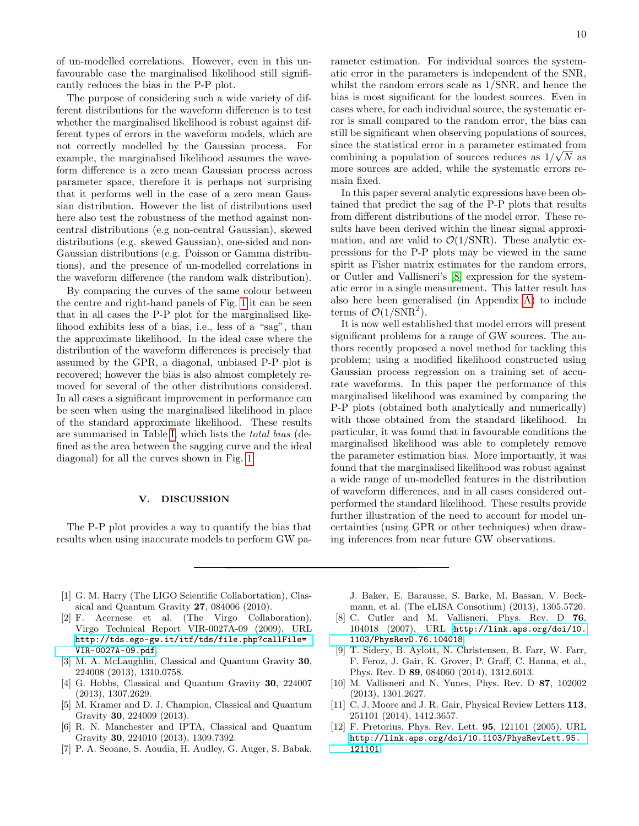of un-modelled correlations. However, even in this unfavourable case the marginalised likelihood still significantly reduces the bias in the P-P plot.

The purpose of considering such a wide variety of different distributions for the waveform difference is to test whether the marginalised likelihood is robust against different types of errors in the waveform models, which are not correctly modelled by the Gaussian process. For example, the marginalised likelihood assumes the waveform difference is a zero mean Gaussian process across parameter space, therefore it is perhaps not surprising that it performs well in the case of a zero mean Gaussian distribution. However the list of distributions used here also test the robustness of the method against noncentral distributions (e.g non-central Gaussian), skewed distributions (e.g. skewed Gaussian), one-sided and non-Gaussian distributions (e.g. Poisson or Gamma distributions), and the presence of un-modelled correlations in the waveform difference (the random walk distribution).

By comparing the curves of the same colour between the centre and right-hand panels of Fig. [1](#page-8-0) it can be seen that in all cases the P-P plot for the marginalised likelihood exhibits less of a bias, i.e., less of a "sag", than the approximate likelihood. In the ideal case where the distribution of the waveform differences is precisely that assumed by the GPR, a diagonal, unbiased P-P plot is recovered; however the bias is also almost completely removed for several of the other distributions considered. In all cases a significant improvement in performance can be seen when using the marginalised likelihood in place of the standard approximate likelihood. These results are summarised in Table [I,](#page-7-2) which lists the total bias (defined as the area between the sagging curve and the ideal diagonal) for all the curves shown in Fig. [1.](#page-8-0)

# <span id="page-9-9"></span>V. DISCUSSION

The P-P plot provides a way to quantify the bias that results when using inaccurate models to perform GW parameter estimation. For individual sources the systematic error in the parameters is independent of the SNR, whilst the random errors scale as 1/SNR, and hence the bias is most significant for the loudest sources. Even in cases where, for each individual source, the systematic error is small compared to the random error, the bias can still be significant when observing populations of sources, since the statistical error in a parameter estimated from combining a population of sources reduces as  $1/\sqrt{N}$  as more sources are added, while the systematic errors remain fixed.

In this paper several analytic expressions have been obtained that predict the sag of the P-P plots that results from different distributions of the model error. These results have been derived within the linear signal approximation, and are valid to  $\mathcal{O}(1/\text{SNR})$ . These analytic expressions for the P-P plots may be viewed in the same spirit as Fisher matrix estimates for the random errors, or Cutler and Vallisneri's [\[8\]](#page-9-5) expression for the systematic error in a single measurement. This latter result has also here been generalised (in Appendix [A\)](#page-10-3) to include terms of  $\mathcal{O}(1/\text{SNR}^2)$ .

It is now well established that model errors will present significant problems for a range of GW sources. The authors recently proposed a novel method for tackling this problem; using a modified likelihood constructed using Gaussian process regression on a training set of accurate waveforms. In this paper the performance of this marginalised likelihood was examined by comparing the P-P plots (obtained both analytically and numerically) with those obtained from the standard likelihood. In particular, it was found that in favourable conditions the marginalised likelihood was able to completely remove the parameter estimation bias. More importantly, it was found that the marginalised likelihood was robust against a wide range of un-modelled features in the distribution of waveform differences, and in all cases considered outperformed the standard likelihood. These results provide further illustration of the need to account for model uncertainties (using GPR or other techniques) when drawing inferences from near future GW observations.

- <span id="page-9-0"></span>[1] G. M. Harry (The LIGO Scientific Collabortation), Clas-
- <span id="page-9-1"></span>sical and Quantum Gravity 27, 084006 (2010). [2] F. Acernese et al. (The Virgo Collaboration), Virgo Technical Report VIR-0027A-09 (2009), URL
- [http://tds.ego-gw.it/itf/tds/file.php?callFile=](http://tds.ego-gw.it/itf/tds/file.php?callFile=VIR-0027A-09.pdf) [VIR-0027A-09.pdf](http://tds.ego-gw.it/itf/tds/file.php?callFile=VIR-0027A-09.pdf). [3] M. A. McLaughlin, Classical and Quantum Gravity **30**,
- <span id="page-9-2"></span>224008 (2013), 1310.0758.
- [4] G. Hobbs, Classical and Quantum Gravity **30**, 224007 (2013), 1307.2629.
- [5] M. Kramer and D. J. Champion, Classical and Quantum Gravity 30, 224009 (2013).
- <span id="page-9-3"></span>[6] R. N. Manchester and IPTA, Classical and Quantum Gravity 30, 224010 (2013), 1309.7392.
- <span id="page-9-4"></span>[7] P. A. Seoane, S. Aoudia, H. Audley, G. Auger, S. Babak,

J. Baker, E. Barausse, S. Barke, M. Bassan, V. Beckmann, et al. (The eLISA Consotium) (2013), 1305.5720.

- <span id="page-9-5"></span>[8] C. Cutler and M. Vallisneri, Phys. Rev. D 76, 104018 (2007), URL [http://link.aps.org/doi/10.](http://link.aps.org/doi/10.1103/PhysRevD.76.104018) [1103/PhysRevD.76.104018](http://link.aps.org/doi/10.1103/PhysRevD.76.104018).
- <span id="page-9-6"></span>[9] T. Sidery, B. Aylott, N. Christensen, B. Farr, W. Farr, F. Feroz, J. Gair, K. Grover, P. Graff, C. Hanna, et al., Phys. Rev. D 89, 084060 (2014), 1312.6013.
- <span id="page-9-7"></span>[10] M. Vallisneri and N. Yunes, Phys. Rev. D 87, 102002 (2013), 1301.2627.
- <span id="page-9-8"></span>[11] C. J. Moore and J. R. Gair, Physical Review Letters 113, 251101 (2014), 1412.3657.
- <span id="page-9-10"></span>[12] F. Pretorius, Phys. Rev. Lett. 95, 121101 (2005), URL [http://link.aps.org/doi/10.1103/PhysRevLett.95.](http://link.aps.org/doi/10.1103/PhysRevLett.95.121101) [121101](http://link.aps.org/doi/10.1103/PhysRevLett.95.121101).